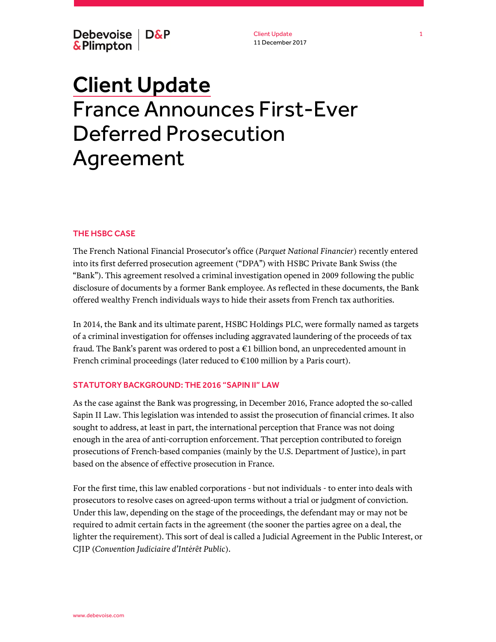Debevoise | D&P & Plimpton

Client Update 11 December 2017

# Client Update France Announces First-Ever Deferred Prosecution Agreement

## THE HSBC CASE

The French National Financial Prosecutor's office (*Parquet National Financier*) recently entered into its first deferred prosecution agreement ("DPA") with HSBC Private Bank Swiss (the "Bank"). This agreement resolved a criminal investigation opened in 2009 following the public disclosure of documents by a former Bank employee. As reflected in these documents, the Bank offered wealthy French individuals ways to hide their assets from French tax authorities.

In 2014, the Bank and its ultimate parent, HSBC Holdings PLC, were formally named as targets of a criminal investigation for offenses including aggravated laundering of the proceeds of tax fraud. The Bank's parent was ordered to post a €1 billion bond, an unprecedented amount in French criminal proceedings (later reduced to €100 million by a Paris court).

# STATUTORY BACKGROUND: THE 2016 "SAPIN II" LAW

As the case against the Bank was progressing, in December 2016, France adopted the so-called Sapin II Law. This legislation was intended to assist the prosecution of financial crimes. It also sought to address, at least in part, the international perception that France was not doing enough in the area of anti-corruption enforcement. That perception contributed to foreign prosecutions of French-based companies (mainly by the U.S. Department of Justice), in part based on the absence of effective prosecution in France.

For the first time, this law enabled corporations - but not individuals - to enter into deals with prosecutors to resolve cases on agreed-upon terms without a trial or judgment of conviction. Under this law, depending on the stage of the proceedings, the defendant may or may not be required to admit certain facts in the agreement (the sooner the parties agree on a deal, the lighter the requirement). This sort of deal is called a Judicial Agreement in the Public Interest, or CJIP (*Convention Judiciaire d'Intérêt Public*).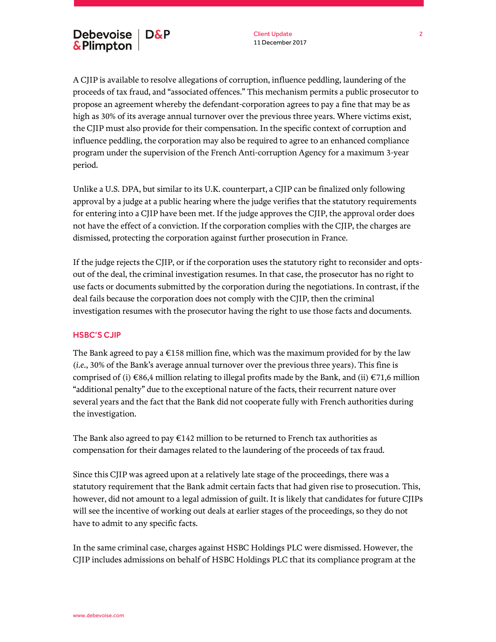Client Update 11 December 2017

A CJIP is available to resolve allegations of corruption, influence peddling, laundering of the proceeds of tax fraud, and "associated offences." This mechanism permits a public prosecutor to propose an agreement whereby the defendant-corporation agrees to pay a fine that may be as high as 30% of its average annual turnover over the previous three years. Where victims exist, the CJIP must also provide for their compensation. In the specific context of corruption and influence peddling, the corporation may also be required to agree to an enhanced compliance program under the supervision of the French Anti-corruption Agency for a maximum 3-year period.

Unlike a U.S. DPA, but similar to its U.K. counterpart, a CJIP can be finalized only following approval by a judge at a public hearing where the judge verifies that the statutory requirements for entering into a CJIP have been met. If the judge approves the CJIP, the approval order does not have the effect of a conviction. If the corporation complies with the CJIP, the charges are dismissed, protecting the corporation against further prosecution in France.

If the judge rejects the CJIP, or if the corporation uses the statutory right to reconsider and optsout of the deal, the criminal investigation resumes. In that case, the prosecutor has no right to use facts or documents submitted by the corporation during the negotiations. In contrast, if the deal fails because the corporation does not comply with the CJIP, then the criminal investigation resumes with the prosecutor having the right to use those facts and documents.

## HSBC'S CJIP

The Bank agreed to pay a  $\epsilon$ 158 million fine, which was the maximum provided for by the law (*i.e.*, 30% of the Bank's average annual turnover over the previous three years). This fine is comprised of (i)  $\in$ 86,4 million relating to illegal profits made by the Bank, and (ii)  $\in$ 71,6 million "additional penalty" due to the exceptional nature of the facts, their recurrent nature over several years and the fact that the Bank did not cooperate fully with French authorities during the investigation.

The Bank also agreed to pay  $E142$  million to be returned to French tax authorities as compensation for their damages related to the laundering of the proceeds of tax fraud.

Since this CJIP was agreed upon at a relatively late stage of the proceedings, there was a statutory requirement that the Bank admit certain facts that had given rise to prosecution. This, however, did not amount to a legal admission of guilt. It is likely that candidates for future CJIPs will see the incentive of working out deals at earlier stages of the proceedings, so they do not have to admit to any specific facts.

In the same criminal case, charges against HSBC Holdings PLC were dismissed. However, the CJIP includes admissions on behalf of HSBC Holdings PLC that its compliance program at the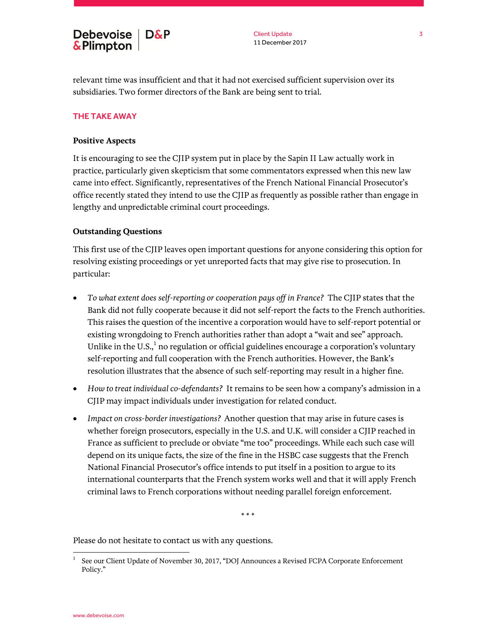relevant time was insufficient and that it had not exercised sufficient supervision over its subsidiaries. Two former directors of the Bank are being sent to trial.

## THE TAKE AWAY

## **Positive Aspects**

It is encouraging to see the CJIP system put in place by the Sapin II Law actually work in practice, particularly given skepticism that some commentators expressed when this new law came into effect. Significantly, representatives of the French National Financial Prosecutor's office recently stated they intend to use the CJIP as frequently as possible rather than engage in lengthy and unpredictable criminal court proceedings.

#### **Outstanding Questions**

This first use of the CJIP leaves open important questions for anyone considering this option for resolving existing proceedings or yet unreported facts that may give rise to prosecution. In particular:

- *To what extent does self-reporting or cooperation pays off in France?* The CJIP states that the Bank did not fully cooperate because it did not self-report the facts to the French authorities. This raises the question of the incentive a corporation would have to self-report potential or existing wrongdoing to French authorities rather than adopt a "wait and see" approach. Unlike in the U.S.,<sup>1</sup> no regulation or official guidelines encourage a corporation's voluntary self-reporting and full cooperation with the French authorities. However, the Bank's resolution illustrates that the absence of such self-reporting may result in a higher fine.
- *How to treat individual co-defendants?* It remains to be seen how a company's admission in a CJIP may impact individuals under investigation for related conduct.
- *Impact on cross-border investigations?* Another question that may arise in future cases is whether foreign prosecutors, especially in the U.S. and U.K. will consider a CJIP reached in France as sufficient to preclude or obviate "me too" proceedings. While each such case will depend on its unique facts, the size of the fine in the HSBC case suggests that the French National Financial Prosecutor's office intends to put itself in a position to argue to its international counterparts that the French system works well and that it will apply French criminal laws to French corporations without needing parallel foreign enforcement.

\* \* \*

Please do not hesitate to contact us with any questions.

l

<sup>1</sup> See our Client Update of November 30, 2017, "DOJ Announces a Revised FCPA Corporate Enforcement Policy."